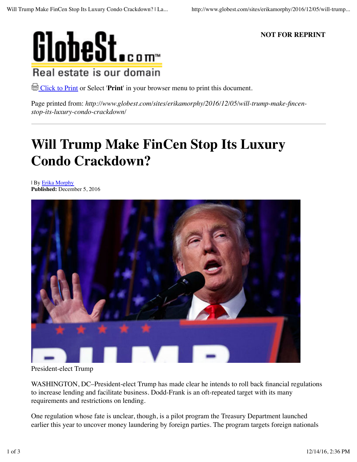

**NOT FOR REPRINT**

Click to Print or Select '**Print**' in your browser menu to print this document.

Page printed from: *http://www.globest.com/sites/erikamorphy/2016/12/05/will-trump-make-fincenstop-its-luxury-condo-crackdown/*

# **Will Trump Make FinCen Stop Its Luxury Condo Crackdown?**

| By Erika Morphy **Published:** December 5, 2016



President-elect Trump

WASHINGTON, DC–President-elect Trump has made clear he intends to roll back financial regulations to increase lending and facilitate business. Dodd-Frank is an oft-repeated target with its many requirements and restrictions on lending.

One regulation whose fate is unclear, though, is a pilot program the Treasury Department launched earlier this year to uncover money laundering by foreign parties. The program targets foreign nationals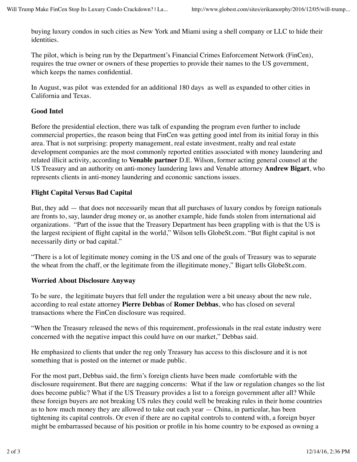buying luxury condos in such cities as New York and Miami using a shell company or LLC to hide their identities.

The pilot, which is being run by the Department's Financial Crimes Enforcement Network (FinCen), requires the true owner or owners of these properties to provide their names to the US government, which keeps the names confidential.

In August, was pilot was extended for an additional 180 days as well as expanded to other cities in California and Texas.

#### **Good Intel**

Before the presidential election, there was talk of expanding the program even further to include commercial properties, the reason being that FinCen was getting good intel from its initial foray in this area. That is not surprising: property management, real estate investment, realty and real estate development companies are the most commonly reported entities associated with money laundering and related illicit activity, according to **Venable partner** D.E. Wilson, former acting general counsel at the US Treasury and an authority on anti-money laundering laws and Venable attorney **Andrew Bigart**, who represents clients in anti-money laundering and economic sanctions issues.

### **Flight Capital Versus Bad Capital**

But, they add — that does not necessarily mean that all purchases of luxury condos by foreign nationals are fronts to, say, launder drug money or, as another example, hide funds stolen from international aid organizations. "Part of the issue that the Treasury Department has been grappling with is that the US is the largest recipient of flight capital in the world," Wilson tells GlobeSt.com. "But flight capital is not necessarily dirty or bad capital."

"There is a lot of legitimate money coming in the US and one of the goals of Treasury was to separate the wheat from the chaff, or the legitimate from the illegitimate money," Bigart tells GlobeSt.com.

#### **Worried About Disclosure Anyway**

To be sure, the legitimate buyers that fell under the regulation were a bit uneasy about the new rule, according to real estate attorney **Pierre Debbas** of **Romer Debbas**, who has closed on several transactions where the FinCen disclosure was required.

"When the Treasury released the news of this requirement, professionals in the real estate industry were concerned with the negative impact this could have on our market," Debbas said.

He emphasized to clients that under the reg only Treasury has access to this disclosure and it is not something that is posted on the internet or made public.

For the most part, Debbas said, the firm's foreign clients have been made comfortable with the disclosure requirement. But there are nagging concerns: What if the law or regulation changes so the list does become public? What if the US Treasury provides a list to a foreign government after all? While these foreign buyers are not breaking US rules they could well be breaking rules in their home countries as to how much money they are allowed to take out each year — China, in particular, has been tightening its capital controls. Or even if there are no capital controls to contend with, a foreign buyer might be embarrassed because of his position or profile in his home country to be exposed as owning a